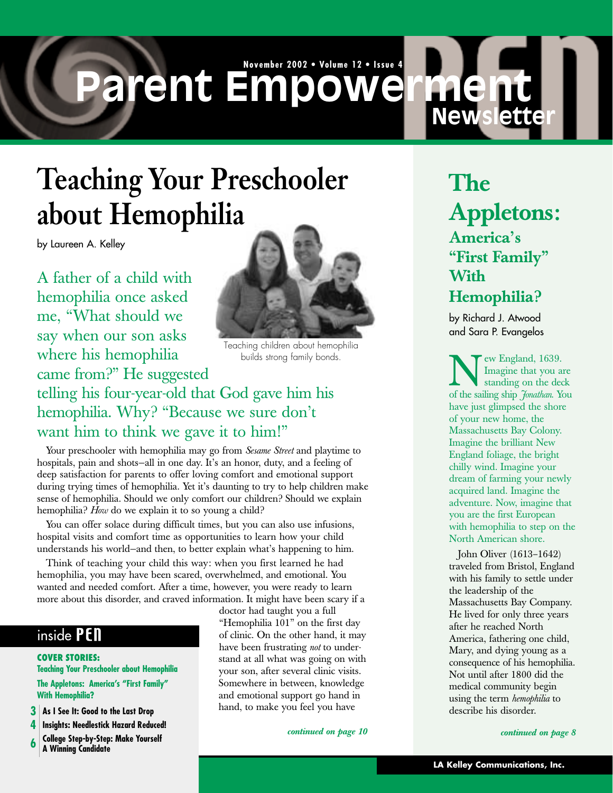# **November 2002 • Volume 12 • Issue 4 Parent Empowerment**

# **Teaching Your Preschooler about Hemophilia**

by Laureen A. Kelley

A father of a child with hemophilia once asked me, "What should we say when our son asks where his hemophilia came from?" He suggested



Teaching children about hemophilia builds strong family bonds.

### telling his four-year-old that God gave him his hemophilia. Why? "Because we sure don't want him to think we gave it to him!"

Your preschooler with hemophilia may go from *Sesame Street* and playtime to hospitals, pain and shots-all in one day. It's an honor, duty, and a feeling of deep satisfaction for parents to offer loving comfort and emotional support during trying times of hemophilia. Yet it's daunting to try to help children make sense of hemophilia. Should we only comfort our children? Should we explain hemophilia? *How* do we explain it to so young a child?

You can offer solace during difficult times, but you can also use infusions, hospital visits and comfort time as opportunities to learn how your child understands his world—and then, to better explain what's happening to him.

Think of teaching your child this way: when you first learned he had hemophilia, you may have been scared, overwhelmed, and emotional. You wanted and needed comfort. After a time, however, you were ready to learn more about this disorder, and craved information. It might have been scary if a

#### inside PEN

**COVER STORIES: Teaching Your Preschooler about Hemophilia The Appletons: America's "First Family" With Hemophilia?**

- **3 As I See It: Good to the Last Drop**
- **4 Insights: Needlestick Hazard Reduced!**
- **6 College Step-by-Step: Make Yourself**
- **A Winning Candidate**

doctor had taught you a full "Hemophilia 101" on the first day of clinic. On the other hand, it may have been frustrating *not* to understand at all what was going on with your son, after several clinic visits. Somewhere in between, knowledge and emotional support go hand in hand, to make you feel you have

### **The Appletons: America's "First Family" With Hemophilia?**

**New** 

by Richard J. Atwood and Sara P. Evangelos

**New England, 1639.**<br>
Imagine that you are<br>
of the sailing ship *Jonathan*. You Imagine that you are standing on the deck have just glimpsed the shore of your new home, the Massachusetts Bay Colony. Imagine the brilliant New England foliage, the bright chilly wind. Imagine your dream of farming your newly acquired land. Imagine the adventure. Now, imagine that you are the first European with hemophilia to step on the North American shore.

John Oliver (1613–1642) traveled from Bristol, England with his family to settle under the leadership of the Massachusetts Bay Company. He lived for only three years after he reached North America, fathering one child, Mary, and dying young as a consequence of his hemophilia. Not until after 1800 did the medical community begin using the term *hemophilia* to describe his disorder.

*continued on page 10 continued on page 8*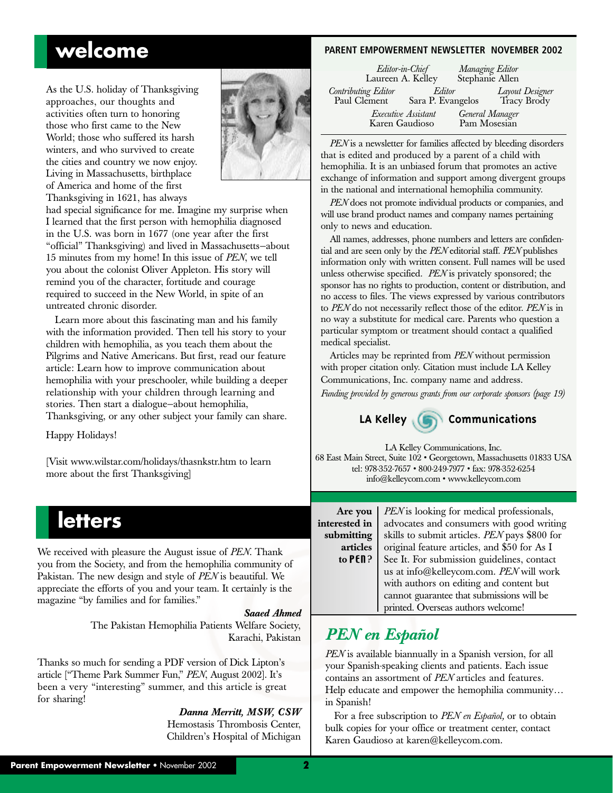### **welcome**

As the U.S. holiday of Thanksgiving approaches, our thoughts and activities often turn to honoring those who first came to the New World; those who suffered its harsh winters, and who survived to create the cities and country we now enjoy. Living in Massachusetts, birthplace of America and home of the first Thanksgiving in 1621, has always



had special significance for me. Imagine my surprise when I learned that the first person with hemophilia diagnosed in the U.S. was born in 1677 (one year after the first "official" Thanksgiving) and lived in Massachusetts—about 15 minutes from my home! In this issue of *PEN*, we tell you about the colonist Oliver Appleton. His story will remind you of the character, fortitude and courage required to succeed in the New World, in spite of an untreated chronic disorder.

Learn more about this fascinating man and his family with the information provided. Then tell his story to your children with hemophilia, as you teach them about the Pilgrims and Native Americans. But first, read our feature article: Learn how to improve communication about hemophilia with your preschooler, while building a deeper relationship with your children through learning and stories. Then start a dialogue—about hemophilia, Thanksgiving, or any other subject your family can share.

Happy Holidays!

[Visit www.wilstar.com/holidays/thasnkstr.htm to learn more about the first Thanksgiving]

### **letters**

We received with pleasure the August issue of *PEN*. Thank you from the Society, and from the hemophilia community of Pakistan. The new design and style of *PEN* is beautiful. We appreciate the efforts of you and your team. It certainly is the magazine "by families and for families."

#### *Saaed Ahmed*

**inte** 

The Pakistan Hemophilia Patients Welfare Society, Karachi, Pakistan

Thanks so much for sending a PDF version of Dick Lipton's article ["Theme Park Summer Fun," *PEN*, August 2002]. It's been a very "interesting" summer, and this article is great for sharing!

> *Danna Merritt, MSW, CSW* Hemostasis Thrombosis Center, Children's Hospital of Michigan

#### **PARENT EMPOWERMENT NEWSLETTER NOVEMBER 2002**

| Editor-in-Chief<br>Laureen A. Kelley  |                             | Managing Editor<br>Stephanie Allen |                                |
|---------------------------------------|-----------------------------|------------------------------------|--------------------------------|
| Contributing Editor<br>Paul Clement   | Editor<br>Sara P. Evangelos |                                    | Layout Designer<br>Tracy Brody |
| Executive Assistant<br>Karen Gaudioso |                             | General Manager<br>Pam Mosesian    |                                |

*PEN* is a newsletter for families affected by bleeding disorders that is edited and produced by a parent of a child with hemophilia. It is an unbiased forum that promotes an active exchange of information and support among divergent groups in the national and international hemophilia community.

*PEN* does not promote individual products or companies, and will use brand product names and company names pertaining only to news and education.

All names, addresses, phone numbers and letters are confidential and are seen only by the *PEN* editorial staff. *PEN* publishes information only with written consent. Full names will be used unless otherwise specified. *PEN* is privately sponsored; the sponsor has no rights to production, content or distribution, and no access to files. The views expressed by various contributors to *PEN* do not necessarily reflect those of the editor. *PEN* is in no way a substitute for medical care. Parents who question a particular symptom or treatment should contact a qualified medical specialist.

Articles may be reprinted from *PEN* without permission with proper citation only. Citation must include LA Kelley Communications, Inc. company name and address.

*Funding provided by generous grants from our corporate sponsors (page 19)*



LA Kelley Communications, Inc. 68 East Main Street, Suite 102 • Georgetown, Massachusetts 01833 USA tel: 978-352-7657 • 800-249-7977 • fax: 978-352-6254 info@kelleycom.com • www.kelleycom.com

| Are you      | PEN is looking for medical professionals,     |
|--------------|-----------------------------------------------|
| iterested in | advocates and consumers with good writing     |
| submitting   | skills to submit articles. PEN pays \$800 for |
| articles     | original feature articles, and \$50 for As I  |
| to PEN?      | See It. For submission guidelines, contact    |
|              | us at info@kelleycom.com. PEN will work       |
|              | with authors on editing and content but       |
|              | cannot guarantee that submissions will be     |
|              | printed. Overseas authors welcome!            |

### *PEN en Español*

*PEN* is available biannually in a Spanish version, for all your Spanish-speaking clients and patients. Each issue contains an assortment of *PEN* articles and features. Help educate and empower the hemophilia community… in Spanish!

For a free subscription to *PEN en Español,* or to obtain bulk copies for your office or treatment center, contact Karen Gaudioso at karen@kelleycom.com.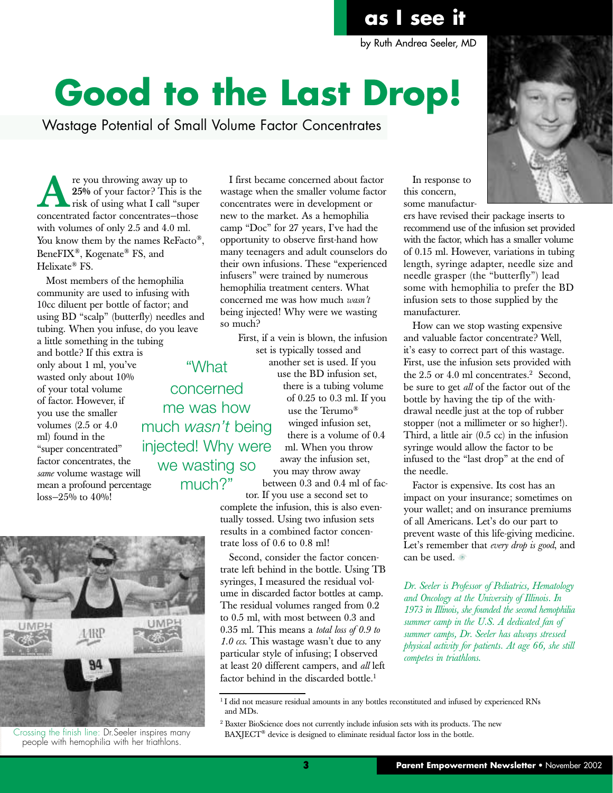# **Good to the Last Drop!**

Wastage Potential of Small Volume Factor Concentrates

**A**re you throwing away up to<br> **A**risk of using what I call "superconcentrated factor concentrates—those **25%** of your factor? This is the risk of using what I call "super with volumes of only 2.5 and 4.0 ml. You know them by the names ReFacto<sup>®</sup>, BeneFIX®, Kogenate® FS, and Helixate® FS.

Most members of the hemophilia community are used to infusing with 10cc diluent per bottle of factor; and using BD "scalp" (butterfly) needles and tubing. When you infuse, do you leave

a little something in the tubing and bottle? If this extra is only about 1 ml, you've wasted only about 10% of your total volume of factor. However, if you use the smaller volumes (2.5 or 4.0 ml) found in the "super concentrated" factor concentrates, the *same* volume wastage will mean a profound percentage  $\cos - 25\%$  to  $40\%$ !



Crossing the finish line: Dr.Seeler inspires many people with hemophilia with her triathlons.

I first became concerned about factor wastage when the smaller volume factor concentrates were in development or new to the market. As a hemophilia camp "Doc" for 27 years, I've had the opportunity to observe first-hand how many teenagers and adult counselors do their own infusions. These "experienced infusers" were trained by numerous hemophilia treatment centers. What concerned me was how much *wasn't* being injected! Why were we wasting so much?

First, if a vein is blown, the infusion set is typically tossed and another set is used. If you use the BD infusion set, there is a tubing volume of 0.25 to 0.3 ml. If you use the Terumo® winged infusion set, there is a volume of 0.4 ml. When you throw away the infusion set, "What concerned me was how much *wasn't* being injected! Why were we wasting so much?"

you may throw away between 0.3 and 0.4 ml of fac-

tor. If you use a second set to complete the infusion, this is also eventually tossed. Using two infusion sets results in a combined factor concentrate loss of 0.6 to 0.8 ml!

Second, consider the factor concentrate left behind in the bottle. Using TB syringes, I measured the residual volume in discarded factor bottles at camp. The residual volumes ranged from 0.2 to 0.5 ml, with most between 0.3 and 0.35 ml. This means a *total loss of 0.9 to 1.0 ccs*. This wastage wasn't due to any particular style of infusing; I observed at least 20 different campers, and *all* left factor behind in the discarded bottle.<sup>1</sup>

In response to this concern, some manufactur-



ers have revised their package inserts to recommend use of the infusion set provided with the factor, which has a smaller volume of 0.15 ml. However, variations in tubing length, syringe adapter, needle size and needle grasper (the "butterfly") lead some with hemophilia to prefer the BD infusion sets to those supplied by the manufacturer.

How can we stop wasting expensive and valuable factor concentrate? Well, it's easy to correct part of this wastage. First, use the infusion sets provided with the  $2.5$  or  $4.0$  ml concentrates.<sup>2</sup> Second, be sure to get *all* of the factor out of the bottle by having the tip of the withdrawal needle just at the top of rubber stopper (not a millimeter or so higher!). Third, a little air (0.5 cc) in the infusion syringe would allow the factor to be infused to the "last drop" at the end of the needle.

Factor is expensive. Its cost has an impact on your insurance; sometimes on your wallet; and on insurance premiums of all Americans. Let's do our part to prevent waste of this life-giving medicine. Let's remember that *every drop is good*, and can be used.

*Dr. Seeler is Professor of Pediatrics, Hematology and Oncology at the University of Illinois. In 1973 in Illinois, she founded the second hemophilia summer camp in the U.S. A dedicated fan of summer camps, Dr. Seeler has always stressed physical activity for patients. At age 66, she still competes in triathlons*.

by Ruth Andrea Seeler, MD

<sup>&</sup>lt;sup>1</sup> I did not measure residual amounts in any bottles reconstituted and infused by experienced RNs and MDs.

 $2$  Baxter BioScience does not currently include infusion sets with its products. The new BAXJECT<sup>®</sup> device is designed to eliminate residual factor loss in the bottle.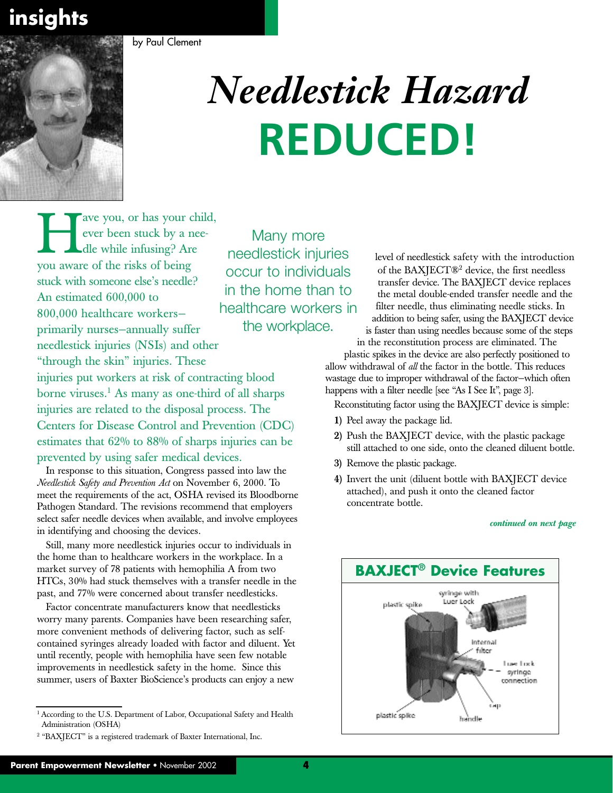**insights**



by Paul Clement

# *Needlestick Hazard* **REDUCED!**

The ave you, or has your child,<br>
ever been stuck by a nee-<br>
you aware of the risks of being ever been stuck by a needle while infusing? Are stuck with someone else's needle? An estimated 600,000 to 800,000 healthcare workers primarily nurses—annually suffer needlestick injuries (NSIs) and other "through the skin" injuries. These injuries put workers at risk of contracting blood borne viruses. $<sup>1</sup>$  As many as one-third of all sharps</sup> injuries are related to the disposal process. The Centers for Disease Control and Prevention (CDC) estimates that 62% to 88% of sharps injuries can be prevented by using safer medical devices.

In response to this situation, Congress passed into law the *Needlestick Safety and Prevention Act* on November 6, 2000. To meet the requirements of the act, OSHA revised its Bloodborne Pathogen Standard. The revisions recommend that employers select safer needle devices when available, and involve employees in identifying and choosing the devices.

Still, many more needlestick injuries occur to individuals in the home than to healthcare workers in the workplace. In a market survey of 78 patients with hemophilia A from two HTCs, 30% had stuck themselves with a transfer needle in the past, and 77% were concerned about transfer needlesticks.

Factor concentrate manufacturers know that needlesticks worry many parents. Companies have been researching safer, more convenient methods of delivering factor, such as selfcontained syringes already loaded with factor and diluent. Yet until recently, people with hemophilia have seen few notable improvements in needlestick safety in the home. Since this summer, users of Baxter BioScience's products can enjoy a new

Many more needlestick injuries occur to individuals in the home than to healthcare workers in the workplace.

level of needlestick safety with the introduction of the BAXJECT®2 device, the first needless transfer device. The BAXJECT device replaces the metal double-ended transfer needle and the filter needle, thus eliminating needle sticks. In addition to being safer, using the BAXJECT device is faster than using needles because some of the steps

in the reconstitution process are eliminated. The plastic spikes in the device are also perfectly positioned to

allow withdrawal of *all* the factor in the bottle. This reduces wastage due to improper withdrawal of the factor—which often happens with a filter needle [see "As I See It", page 3].

Reconstituting factor using the BAXJECT device is simple:

- **1)** Peel away the package lid.
- **2)** Push the BAXJECT device, with the plastic package still attached to one side, onto the cleaned diluent bottle.
- **3)** Remove the plastic package.
- **4)** Invert the unit (diluent bottle with BAXJECT device attached), and push it onto the cleaned factor concentrate bottle.

#### *continued on next page*



<sup>&</sup>lt;sup>1</sup> According to the U.S. Department of Labor, Occupational Safety and Health Administration (OSHA)

<sup>2</sup> "BAXJECT" is a registered trademark of Baxter International, Inc.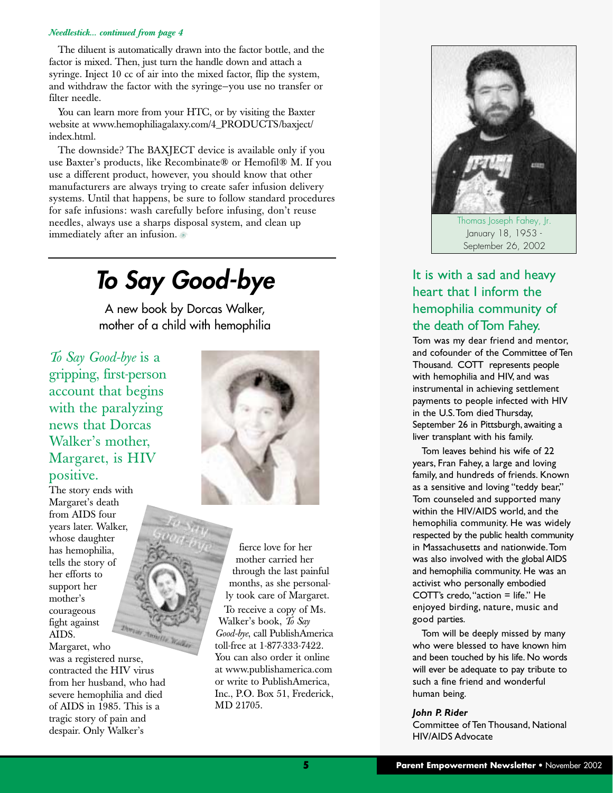#### *Needlestick... continued from page 4*

The diluent is automatically drawn into the factor bottle, and the factor is mixed. Then, just turn the handle down and attach a syringe. Inject 10 cc of air into the mixed factor, flip the system, and withdraw the factor with the syringe—you use no transfer or filter needle.

You can learn more from your HTC, or by visiting the Baxter website at www.hemophiliagalaxy.com/4\_PRODUCTS/baxject/ index.html.

The downside? The BAXJECT device is available only if you use Baxter's products, like Recombinate® or Hemofil® M. If you use a different product, however, you should know that other manufacturers are always trying to create safer infusion delivery systems. Until that happens, be sure to follow standard procedures for safe infusions: wash carefully before infusing, don't reuse needles, always use a sharps disposal system, and clean up immediately after an infusion.

### *To Say Good-bye*

A new book by Dorcas Walker, mother of a child with hemophilia

*To Say Good-bye* is a gripping, first-person account that begins with the paralyzing news that Dorcas Walker's mother, Margaret, is HIV positive.

The story ends with Margaret's death from AIDS four years later. Walker, whose daughter has hemophilia, tells the story of her efforts to support her mother's courageous fight against Derrady America Wa AIDS.

Margaret, who was a registered nurse, contracted the HIV virus from her husband, who had severe hemophilia and died of AIDS in 1985. This is a tragic story of pain and despair. Only Walker's



fierce love for her mother carried her through the last painful months, as she personally took care of Margaret. To receive a copy of Ms. Walker's book, *To Say Good-bye*, call PublishAmerica toll-free at 1-877-333-7422. You can also order it online at www.publishamerica.com or write to PublishAmerica, Inc., P.O. Box 51, Frederick, MD 21705.



Thomas Joseph Fahey, Jr. January 18, 1953 - September 26, 2002

#### It is with a sad and heavy heart that I inform the hemophilia community of the death of Tom Fahey.

Tom was my dear friend and mentor, and cofounder of the Committee of Ten Thousand. COTT represents people with hemophilia and HIV, and was instrumental in achieving settlement payments to people infected with HIV in the U.S.Tom died Thursday, September 26 in Pittsburgh, awaiting a liver transplant with his family.

Tom leaves behind his wife of 22 years, Fran Fahey, a large and loving family, and hundreds of friends. Known as a sensitive and loving "teddy bear," Tom counseled and supported many within the HIV/AIDS world, and the hemophilia community. He was widely respected by the public health community in Massachusetts and nationwide.Tom was also involved with the global AIDS and hemophilia community. He was an activist who personally embodied COTT's credo,"action = life." He enjoyed birding, nature, music and good parties.

Tom will be deeply missed by many who were blessed to have known him and been touched by his life. No words will ever be adequate to pay tribute to such a fine friend and wonderful human being.

#### *John P. Rider*

Committee of Ten Thousand, National HIV/AIDS Advocate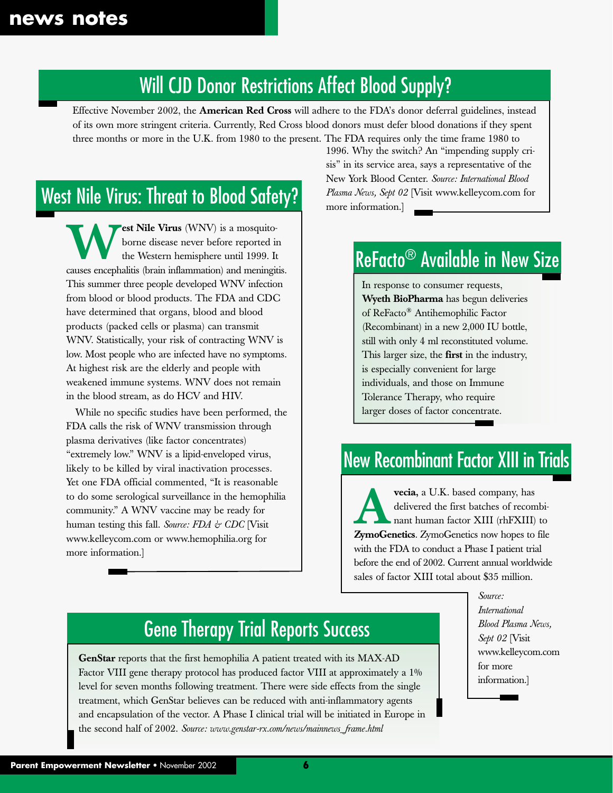### Will CJD Donor Restrictions Affect Blood Supply?

Effective November 2002, the **American Red Cross** will adhere to the FDA's donor deferral guidelines, instead of its own more stringent criteria. Currently, Red Cross blood donors must defer blood donations if they spent three months or more in the U.K. from 1980 to the present. The FDA requires only the time frame 1980 to

### West Nile Virus: Threat to Blood Safety?

**West Nile Virus** (WNV) is a mosquito-<br>
borne disease never before reported in<br>
the Western hemisphere until 1999. It<br>
causes encephalitis (brain inflammation) and meningitis. borne disease never before reported in the Western hemisphere until 1999. It This summer three people developed WNV infection from blood or blood products. The FDA and CDC have determined that organs, blood and blood products (packed cells or plasma) can transmit WNV. Statistically, your risk of contracting WNV is low. Most people who are infected have no symptoms. At highest risk are the elderly and people with weakened immune systems. WNV does not remain in the blood stream, as do HCV and HIV.

While no specific studies have been performed, the FDA calls the risk of WNV transmission through plasma derivatives (like factor concentrates) "extremely low." WNV is a lipid-enveloped virus, likely to be killed by viral inactivation processes. Yet one FDA official commented, "It is reasonable to do some serological surveillance in the hemophilia community." A WNV vaccine may be ready for human testing this fall. *Source: FDA & CDC* [Visit www.kelleycom.com or www.hemophilia.org for more information.]

1996. Why the switch? An "impending supply crisis" in its service area, says a representative of the New York Blood Center. *Source: International Blood Plasma News, Sept 02* [Visit www.kelleycom.com for more information.]

### ReFacto® Available in New Size

In response to consumer requests, **Wyeth BioPharma** has begun deliveries of ReFacto® Antihemophilic Factor (Recombinant) in a new 2,000 IU bottle, still with only 4 ml reconstituted volume. This larger size, the **first** in the industry, is especially convenient for large individuals, and those on Immune Tolerance Therapy, who require larger doses of factor concentrate.

### New Recombinant Factor XIII in Trials

**Avecia,** a U.K. based company, has<br>delivered the first batches of recom<br>nant human factor XIII (rhFXIII)<br>**ZymoGenetics** ZymoGenetics now hopes to delivered the first batches of recombinant human factor XIII (rhFXIII) to **ZymoGenetics**. ZymoGenetics now hopes to file with the FDA to conduct a Phase I patient trial before the end of 2002. Current annual worldwide sales of factor XIII total about \$35 million.

> *Source: International Blood Plasma News, Sept 02* [Visit www.kelleycom.com for more information.]

### Gene Therapy Trial Reports Success

GenStar reports that the first hemophilia A patient treated with its MAX-AD Factor VIII gene therapy protocol has produced factor VIII at approximately a 1% level for seven months following treatment. There were side effects from the single treatment, which GenStar believes can be reduced with anti-inflammatory agents and encapsulation of the vector. A Phase I clinical trial will be initiated in Europe in the second half of 2002. *Source: www.genstar-rx.com/news/mainnews\_frame.html*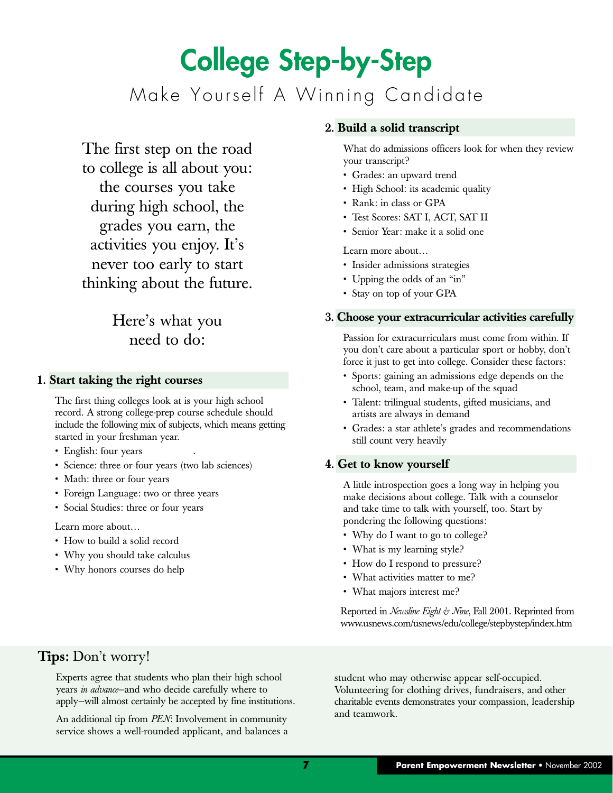# **College Step-by-Step** Make Yourself A Winning Candidate

The first step on the road to college is all about you: the courses you take during high school, the grades you earn, the activities you enjoy. It's never too early to start thinking about the future.

#### Here's what you need to do:

#### **1. Start taking the right courses**

The first thing colleges look at is your high school record. A strong college-prep course schedule should include the following mix of subjects, which means getting started in your freshman year.

- English: four years
- Science: three or four years (two lab sciences)
- Math: three or four years
- Foreign Language: two or three years
- Social Studies: three or four years

Learn more about…

- How to build a solid record
- Why you should take calculus
- Why honors courses do help

#### **2. Build a solid transcript**

What do admissions officers look for when they review your transcript?

- Grades: an upward trend
- High School: its academic quality
- Rank: in class or GPA
- Test Scores: SAT I, ACT, SAT II
- Senior Year: make it a solid one

Learn more about…

- Insider admissions strategies
- Upping the odds of an "in"
- Stay on top of your GPA

#### **3. Choose your extracurricular activities carefully**

Passion for extracurriculars must come from within. If you don't care about a particular sport or hobby, don't force it just to get into college. Consider these factors:

- Sports: gaining an admissions edge depends on the school, team, and make-up of the squad
- Talent: trilingual students, gifted musicians, and artists are always in demand
- Grades: a star athlete's grades and recommendations still count very heavily

#### **4. Get to know yourself**

A little introspection goes a long way in helping you make decisions about college. Talk with a counselor and take time to talk with yourself, too. Start by pondering the following questions:

- Why do I want to go to college?
- What is my learning style?
- How do I respond to pressure?
- What activities matter to me?
- What majors interest me?

Reported in *Newsline Eight & Nine*, Fall 2001. Reprinted from www.usnews.com/usnews/edu/college/stepbystep/index.htm

#### **Tips:** Don't worry!

Experts agree that students who plan their high school years *in advance*—and who decide carefully where to apply—will almost certainly be accepted by fine institutions.

An additional tip from *PEN*: Involvement in community service shows a well-rounded applicant, and balances a

student who may otherwise appear self-occupied. Volunteering for clothing drives, fundraisers, and other charitable events demonstrates your compassion, leadership and teamwork.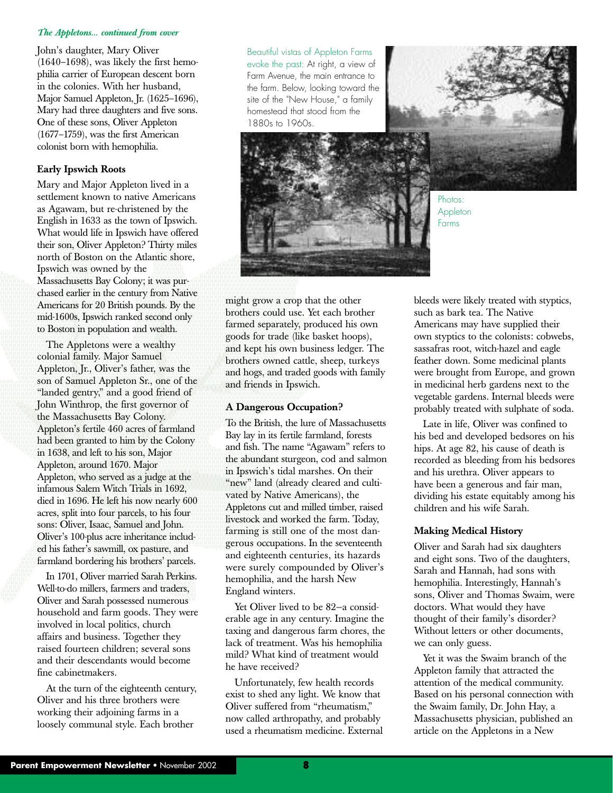#### *The Appletons... continued from cover*

John's daughter, Mary Oliver (1640–1698), was likely the first hemophilia carrier of European descent born in the colonies. With her husband, Major Samuel Appleton, Jr. (1625–1696), Mary had three daughters and five sons. One of these sons, Oliver Appleton (1677–1759), was the first American colonist born with hemophilia.

#### **Early Ipswich Roots**

Mary and Major Appleton lived in a settlement known to native Americans as Agawam, but re-christened by the English in 1633 as the town of Ipswich. What would life in Ipswich have offered their son, Oliver Appleton? Thirty miles north of Boston on the Atlantic shore, Ipswich was owned by the Massachusetts Bay Colony; it was purchased earlier in the century from Native Americans for 20 British pounds. By the mid-1600s, Ipswich ranked second only to Boston in population and wealth.

The Appletons were a wealthy colonial family. Major Samuel Appleton, Jr., Oliver's father, was the son of Samuel Appleton Sr., one of the "landed gentry," and a good friend of John Winthrop, the first governor of the Massachusetts Bay Colony. Appleton's fertile 460 acres of farmland had been granted to him by the Colony in 1638, and left to his son, Major Appleton, around 1670. Major Appleton, who served as a judge at the infamous Salem Witch Trials in 1692, died in 1696. He left his now nearly 600 acres, split into four parcels, to his four sons: Oliver, Isaac, Samuel and John. Oliver's 100-plus acre inheritance included his father's sawmill, ox pasture, and farmland bordering his brothers' parcels.

In 1701, Oliver married Sarah Perkins. Well-to-do millers, farmers and traders, Oliver and Sarah possessed numerous household and farm goods. They were involved in local politics, church affairs and business. Together they raised fourteen children; several sons and their descendants would become fine cabinetmakers.

At the turn of the eighteenth century, Oliver and his three brothers were working their adjoining farms in a loosely communal style. Each brother

Beautiful vistas of Appleton Farms evoke the past: At right, a view of Farm Avenue, the main entrance to the farm. Below, looking toward the site of the "New House," a family homestead that stood from the 1880s to 1960s.



Photos: **Appleton** Farms

might grow a crop that the other brothers could use. Yet each brother farmed separately, produced his own goods for trade (like basket hoops), and kept his own business ledger. The brothers owned cattle, sheep, turkeys and hogs, and traded goods with family and friends in Ipswich.

#### **A Dangerous Occupation?**

To the British, the lure of Massachusetts Bay lay in its fertile farmland, forests and fish. The name "Agawam" refers to the abundant sturgeon, cod and salmon in Ipswich's tidal marshes. On their "new" land (already cleared and cultivated by Native Americans), the Appletons cut and milled timber, raised livestock and worked the farm. Today, farming is still one of the most dangerous occupations. In the seventeenth and eighteenth centuries, its hazards were surely compounded by Oliver's hemophilia, and the harsh New England winters.

Yet Oliver lived to be 82—a considerable age in any century. Imagine the taxing and dangerous farm chores, the lack of treatment. Was his hemophilia mild? What kind of treatment would he have received?

Unfortunately, few health records exist to shed any light. We know that Oliver suffered from "rheumatism," now called arthropathy, and probably used a rheumatism medicine. External bleeds were likely treated with styptics, such as bark tea. The Native Americans may have supplied their own styptics to the colonists: cobwebs, sassafras root, witch-hazel and eagle feather down. Some medicinal plants were brought from Europe, and grown in medicinal herb gardens next to the vegetable gardens. Internal bleeds were probably treated with sulphate of soda.

Late in life, Oliver was confined to his bed and developed bedsores on his hips. At age 82, his cause of death is recorded as bleeding from his bedsores and his urethra. Oliver appears to have been a generous and fair man, dividing his estate equitably among his children and his wife Sarah.

#### **Making Medical History**

Oliver and Sarah had six daughters and eight sons. Two of the daughters, Sarah and Hannah, had sons with hemophilia. Interestingly, Hannah's sons, Oliver and Thomas Swaim, were doctors. What would they have thought of their family's disorder? Without letters or other documents, we can only guess.

Yet it was the Swaim branch of the Appleton family that attracted the attention of the medical community. Based on his personal connection with the Swaim family, Dr. John Hay, a Massachusetts physician, published an article on the Appletons in a New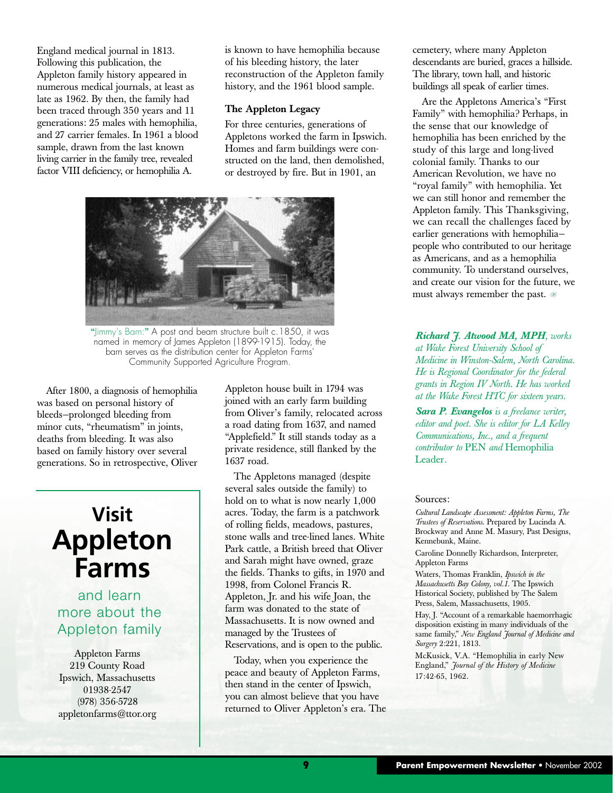England medical journal in 1813. Following this publication, the Appleton family history appeared in numerous medical journals, at least as late as 1962. By then, the family had been traced through 350 years and 11 generations: 25 males with hemophilia, and 27 carrier females. In 1961 a blood sample, drawn from the last known living carrier in the family tree, revealed factor VIII deficiency, or hemophilia A.

is known to have hemophilia because of his bleeding history, the later reconstruction of the Appleton family history, and the 1961 blood sample.

#### **The Appleton Legacy**

For three centuries, generations of Appletons worked the farm in Ipswich. Homes and farm buildings were constructed on the land, then demolished, or destroyed by fire. But in 1901, an



**"**Jimmy's Barn:**"** A post and beam structure built c. 1850, it was named in memory of James Appleton (1899-1915). Today, the barn serves as the distribution center for Appleton Farms' Community Supported Agriculture Program.

After 1800, a diagnosis of hemophilia was based on personal history of bleeds—prolonged bleeding from minor cuts, "rheumatism" in joints, deaths from bleeding. It was also based on family history over several generations. So in retrospective, Oliver

### **Visit Appleton Farms**

#### and learn more about the Appleton family

Appleton Farms 219 County Road Ipswich, Massachusetts 01938-2547 (978) 356-5728 appletonfarms@ttor.org Appleton house built in 1794 was joined with an early farm building from Oliver's family, relocated across a road dating from 1637, and named "Applefield." It still stands today as a private residence, still flanked by the 1637 road.

The Appletons managed (despite several sales outside the family) to hold on to what is now nearly 1,000 acres. Today, the farm is a patchwork of rolling fields, meadows, pastures, stone walls and tree-lined lanes. White Park cattle, a British breed that Oliver and Sarah might have owned, graze the fields. Thanks to gifts, in 1970 and 1998, from Colonel Francis R. Appleton, Jr. and his wife Joan, the farm was donated to the state of Massachusetts. It is now owned and managed by the Trustees of Reservations, and is open to the public.

Today, when you experience the peace and beauty of Appleton Farms, then stand in the center of Ipswich, you can almost believe that you have returned to Oliver Appleton's era. The cemetery, where many Appleton descendants are buried, graces a hillside. The library, town hall, and historic buildings all speak of earlier times.

Are the Appletons America's "First Family" with hemophilia? Perhaps, in the sense that our knowledge of hemophilia has been enriched by the study of this large and long-lived colonial family. Thanks to our American Revolution, we have no "royal family" with hemophilia. Yet we can still honor and remember the Appleton family. This Thanksgiving, we can recall the challenges faced by earlier generations with hemophilia people who contributed to our heritage as Americans, and as a hemophilia community. To understand ourselves, and create our vision for the future, we must always remember the past.

*Richard J. Atwood MA, MPH, works at Wake Forest University School of Medicine in Winston-Salem, North Carolina. He is Regional Coordinator for the federal grants in Region IV North. He has worked at the Wake Forest HTC for sixteen years.* 

*Sara P. Evangelos is a freelance writer, editor and poet. She is editor for LA Kelley Communications, Inc., and a frequent contributor to* PEN *and* Hemophilia Leader*.*

#### Sources:

*Cultural Landscape Assessment: Appleton Farms, The Trustees of Reservations*. Prepared by Lucinda A. Brockway and Anne M. Masury, Past Designs, Kennebunk, Maine.

Caroline Donnelly Richardson, Interpreter, Appleton Farms

Waters, Thomas Franklin, *Ipswich in the Massachusetts Bay Colony, vol.1*. The Ipswich Historical Society, published by The Salem Press, Salem, Massachusetts, 1905.

Hay, J. "Account of a remarkable haemorrhagic disposition existing in many individuals of the same family," *New England Journal of Medicine and Surgery* 2:221, 1813.

McKusick, V.A. "Hemophilia in early New England," *Journal of the History of Medicine* 17:42-65, 1962.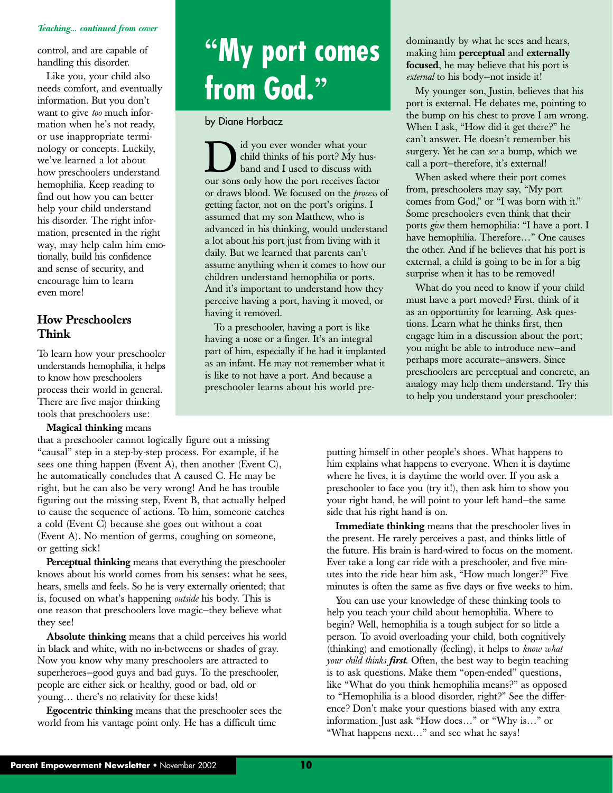#### *Teaching... continued from cover*

control, and are capable of handling this disorder.

Like you, your child also needs comfort, and eventually information. But you don't want to give *too* much information when he's not ready, or use inappropriate terminology or concepts. Luckily, we've learned a lot about how preschoolers understand hemophilia. Keep reading to find out how you can better help your child understand his disorder. The right information, presented in the right way, may help calm him emotionally, build his confidence and sense of security, and encourage him to learn even more!

#### **How Preschoolers Think**

To learn how your preschooler understands hemophilia, it helps to know how preschoolers process their world in general. There are five major thinking tools that preschoolers use:

#### **Magical thinking** means

that a preschooler cannot logically figure out a missing "causal" step in a step-by-step process. For example, if he sees one thing happen (Event A), then another (Event C), he automatically concludes that A caused C. He may be right, but he can also be very wrong! And he has trouble figuring out the missing step, Event B, that actually helped to cause the sequence of actions. To him, someone catches a cold (Event C) because she goes out without a coat (Event A). No mention of germs, coughing on someone, or getting sick!

**Perceptual thinking** means that everything the preschooler knows about his world comes from his senses: what he sees, hears, smells and feels. So he is very externally oriented; that is, focused on what's happening *outside* his body. This is one reason that preschoolers love magic—they believe what they see!

**Absolute thinking** means that a child perceives his world in black and white, with no in-betweens or shades of gray. Now you know why many preschoolers are attracted to superheroes—good guys and bad guys. To the preschooler, people are either sick or healthy, good or bad, old or young… there's no relativity for these kids!

**Egocentric thinking** means that the preschooler sees the world from his vantage point only. He has a difficult time

# **"My port comes from God."**

by Diane Horbacz

If you ever wonder what your<br>child thinks of his port? My hus-<br>band and I used to discuss with<br>our sons only how the port receives factor child thinks of his port? My husband and I used to discuss with or draws blood. We focused on the *process* of getting factor, not on the port's origins. I assumed that my son Matthew, who is advanced in his thinking, would understand a lot about his port just from living with it daily. But we learned that parents can't assume anything when it comes to how our children understand hemophilia or ports. And it's important to understand how they perceive having a port, having it moved, or having it removed.

To a preschooler, having a port is like having a nose or a finger. It's an integral part of him, especially if he had it implanted as an infant. He may not remember what it is like to not have a port. And because a preschooler learns about his world predominantly by what he sees and hears, making him **perceptual** and **externally focused**, he may believe that his port is *external* to his body—not inside it!

My younger son, Justin, believes that his port is external. He debates me, pointing to the bump on his chest to prove I am wrong. When I ask, "How did it get there?" he can't answer. He doesn't remember his surgery. Yet he can *see* a bump, which we call a port—therefore, it's external!

When asked where their port comes from, preschoolers may say, "My port comes from God," or "I was born with it." Some preschoolers even think that their ports *give* them hemophilia: "I have a port. I have hemophilia. Therefore…" One causes the other. And if he believes that his port is external, a child is going to be in for a big surprise when it has to be removed!

What do you need to know if your child must have a port moved? First, think of it as an opportunity for learning. Ask questions. Learn what he thinks first, then engage him in a discussion about the port; you might be able to introduce new—and perhaps more accurate—answers. Since preschoolers are perceptual and concrete, an analogy may help them understand. Try this to help you understand your preschooler:

putting himself in other people's shoes. What happens to him explains what happens to everyone. When it is daytime where he lives, it is daytime the world over. If you ask a preschooler to face you (try it!), then ask him to show you your right hand, he will point to your left hand—the same side that his right hand is on.

**Immediate thinking** means that the preschooler lives in the present. He rarely perceives a past, and thinks little of the future. His brain is hard-wired to focus on the moment. Ever take a long car ride with a preschooler, and five minutes into the ride hear him ask, "How much longer?" Five minutes is often the same as five days or five weeks to him.

You can use your knowledge of these thinking tools to help you teach your child about hemophilia. Where to begin? Well, hemophilia is a tough subject for so little a person. To avoid overloading your child, both cognitively (thinking) and emotionally (feeling), it helps to *know what your child thinks first*. Often, the best way to begin teaching is to ask questions. Make them "open-ended" questions, like "What do you think hemophilia means?" as opposed to "Hemophilia is a blood disorder, right?" See the difference? Don't make your questions biased with any extra information. Just ask "How does…" or "Why is…" or "What happens next…" and see what he says!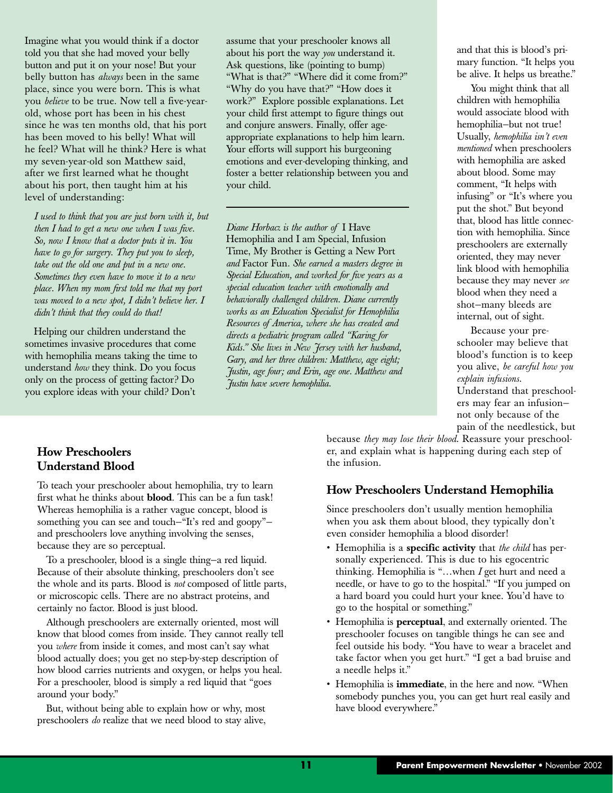Imagine what you would think if a doctor told you that she had moved your belly button and put it on your nose! But your belly button has *always* been in the same place, since you were born. This is what you *believe* to be true. Now tell a five-yearold, whose port has been in his chest since he was ten months old, that his port has been moved to his belly! What will he feel? What will he think? Here is what my seven-year-old son Matthew said, after we first learned what he thought about his port, then taught him at his level of understanding:

*I used to think that you are just born with it, but then I had to get a new one when I was five. So, now I know that a doctor puts it in. You have to go for surgery. They put you to sleep, take out the old one and put in a new one. Sometimes they even have to move it to a new place. When my mom first told me that my port was moved to a new spot, I didn't believe her. I didn't think that they could do that!*

Helping our children understand the sometimes invasive procedures that come with hemophilia means taking the time to understand *how* they think. Do you focus only on the process of getting factor? Do you explore ideas with your child? Don't

assume that your preschooler knows all about his port the way *you* understand it. Ask questions, like (pointing to bump) "What is that?" "Where did it come from?" "Why do you have that?" "How does it work?" Explore possible explanations. Let your child first attempt to figure things out and conjure answers. Finally, offer ageappropriate explanations to help him learn. Your efforts will support his burgeoning emotions and ever-developing thinking, and foster a better relationship between you and your child.

*Diane Horbacz is the author of* I Have Hemophilia and I am Special, Infusion Time, My Brother is Getting a New Port *and* Factor Fun*. She earned a masters degree in Special Education, and worked for five years as a special education teacher with emotionally and behaviorally challenged children. Diane currently works as an Education Specialist for Hemophilia Resources of America, where she has created and directs a pediatric program called "Karing for Kids." She lives in New Jersey with her husband, Gary, and her three children: Matthew, age eight; Justin, age four; and Erin, age one. Matthew and Justin have severe hemophilia.*

and that this is blood's primary function. "It helps you be alive. It helps us breathe."

You might think that all children with hemophilia would associate blood with hemophilia—but not true! Usually, *hemophilia isn't even mentioned* when preschoolers with hemophilia are asked about blood. Some may comment, "It helps with infusing" or "It's where you put the shot." But beyond that, blood has little connection with hemophilia. Since preschoolers are externally oriented, they may never link blood with hemophilia because they may never *see* blood when they need a shot—many bleeds are internal, out of sight.

Because your preschooler may believe that blood's function is to keep you alive, *be careful how you explain infusions*. Understand that preschoolers may fear an infusion not only because of the

pain of the needlestick, but

because *they may lose their blood*. Reassure your preschooler, and explain what is happening during each step of the infusion.

#### **How Preschoolers Understand Hemophilia**

Since preschoolers don't usually mention hemophilia when you ask them about blood, they typically don't even consider hemophilia a blood disorder!

- Hemophilia is a **specific activity** that *the child* has personally experienced. This is due to his egocentric thinking. Hemophilia is "…when *I* get hurt and need a needle, or have to go to the hospital." "If you jumped on a hard board you could hurt your knee. You'd have to go to the hospital or something."
- Hemophilia is **perceptual**, and externally oriented. The preschooler focuses on tangible things he can see and feel outside his body. "You have to wear a bracelet and take factor when you get hurt." "I get a bad bruise and a needle helps it."
- Hemophilia is **immediate**, in the here and now. "When somebody punches you, you can get hurt real easily and have blood everywhere."

#### **How Preschoolers Understand Blood**

To teach your preschooler about hemophilia, try to learn first what he thinks about **blood**. This can be a fun task! Whereas hemophilia is a rather vague concept, blood is something you can see and touch—"It's red and goopy" and preschoolers love anything involving the senses, because they are so perceptual.

To a preschooler, blood is a single thing—a red liquid. Because of their absolute thinking, preschoolers don't see the whole and its parts. Blood is *not* composed of little parts, or microscopic cells. There are no abstract proteins, and certainly no factor. Blood is just blood.

Although preschoolers are externally oriented, most will know that blood comes from inside. They cannot really tell you *where* from inside it comes, and most can't say what blood actually does; you get no step-by-step description of how blood carries nutrients and oxygen, or helps you heal. For a preschooler, blood is simply a red liquid that "goes around your body."

But, without being able to explain how or why, most preschoolers *do* realize that we need blood to stay alive,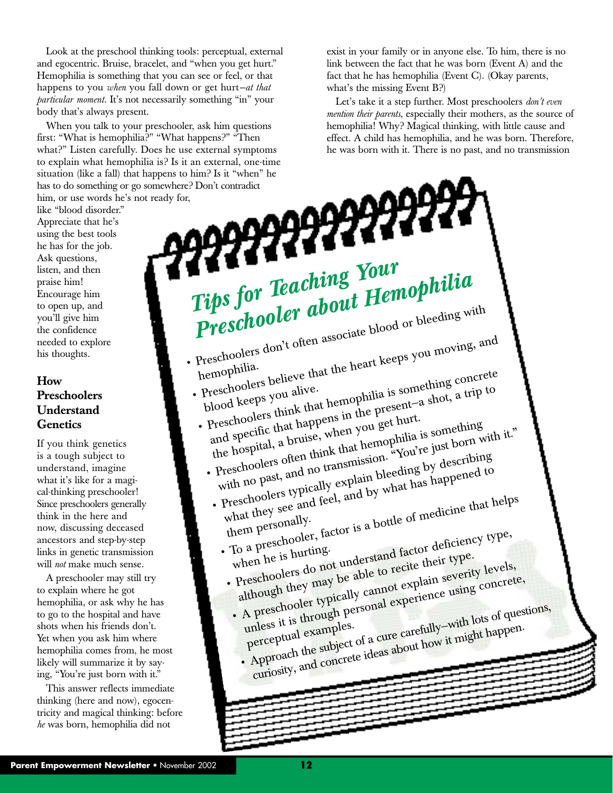Look at the preschool thinking tools: perceptual, external and egocentric. Bruise, bracelet, and "when you get hurt." Hemophilia is something that you can see or feel, or that happens to you *when* you fall down or get hurt*—at that particular moment*. It's not necessarily something "in" your body that's always present.

When you talk to your preschooler, ask him questions first: "What is hemophilia?" "What happens?" "Then what?" Listen carefully. Does he use external symptoms to explain what hemophilia is? Is it an external, one-time has to do something or go somewhere? Don't contradict him, or use words he's not ready for,

like "blood disorder." Appreciate that he's using the best tools he has for the job. Ask questions, listen, and then praise him! Encourage him to open up, and you'll give him the confidence needed to explore his thoughts.

#### **How Preschoolers Understand Genetics**

If you think genetics is a tough subject to understand, imagine what it's like for a magical-thinking preschooler! Since preschoolers generally think in the here and now, discussing deceased ancestors and step-by-step links in genetic transmission will *not* make much sense.

A preschooler may still try to explain where he got hemophilia, or ask why he has to go to the hospital and have shots when his friends don't. Yet when you ask him where hemophilia comes from, he most likely will summarize it by saying, "You're just born with it."

This answer reflects immediate thinking (here and now), egocentricity and magical thinking: before *he* was born, hemophilia did not

exist in your family or in anyone else. To him, there is no link between the fact that he was born (Event A) and the fact that he has hemophilia (Event C). (Okay parents, what's the missing Event B?)

Let's take it a step further. Most preschoolers *don't even mention their parents*, especially their mothers, as the source of hemophilia! Why? Magical thinking, with little cause and effect. A child has hemophilia, and he was born. Therefore, he was born with it. There is no past, and no transmission

situation (like a fall) that happens to him? Is it "when" he<br>has to do something or go somewhere? Don't contradict<br>him, or use words he's not ready for,<br>like "blood disorder."<br>Appreciate that he's<br>Ask questions,<br>he has for *Tips for Teaching Your Preschooler about Hemophilia* **Preschooler about Freschoolers** don't often associate blood or bleeding with hemophilia. Preschoolers don't often associate<br>heart keeps you moving, and<br>preschoolers believe that the heart keeps you moving, and<br>Preschoolers believe that the heart keeps you moving concrete<br>preschoolers believe. Preschoolers<br>blood keeps you alive.<br>blood keeps you alive. hemophilians believe that the<br>Preschoolers you alive.<br>blood keeps you alive.<br>Preschoolers think that hemophilia is something and the present-<br>Preschoolers think that happens in the presentand specific that happens in the present—a shot, a trip to the hospital, a bruise, when you get hurt. Preschoolers that happens and specific that happens are the assemething<br>the hospital, a bruise, when you get the something<br>the hospital, and the think that hemophilia is something<br>Preschoolers often think that hemophilia b with no past, and no transmission. "You're just born with it." Freschoolers often thum<br>with no past, and no transmission. To describing<br>with no past, and no transmission. The ding by describing<br>Preschoolers typically explain by what has happened to<br>Preschoolers typically explain by wh what they see and feel, and by what has happened to what  $\frac{u}{v}$  them personally. Preschoolers  $\frac{1}{2}$  and feel, and  $\frac{1}{2}$ <br>what they see and feel, and  $\frac{1}{2}$ <br>them personally.<br>To a preschooler, factor is a bottle of medicine that helps<br>To a preschooler, factor is a head factor deficiency type,  $\frac{10 \text{ a } \text{p}^2}{\text{when } \text{he}}$  is hurting. them r<br>To a preschooler, tactor<br>when he is hurting.<br>Preschoolers do not understand factor deficiency type,<br>Preschoolers do not understand factor deficiency type. although they may be able to recite their type. when the when the when the preschoolers do not under the concrete them of the preschooler typically cannot explain severity levels,<br>although they may be able to recite them of levels,<br>although personal experience using con unless it is through personal experience using concrete, mless it is examples.<br>perceptual examples. A preschooler the subject of a cure carefully—with lots of questions,<br>perceptual examples.<br>Perceptual the subject of a cure carefully—with lots of questions,<br>examples the subject of a cure carefully—with happen. curiosity, and concrete ideas about how it might happen.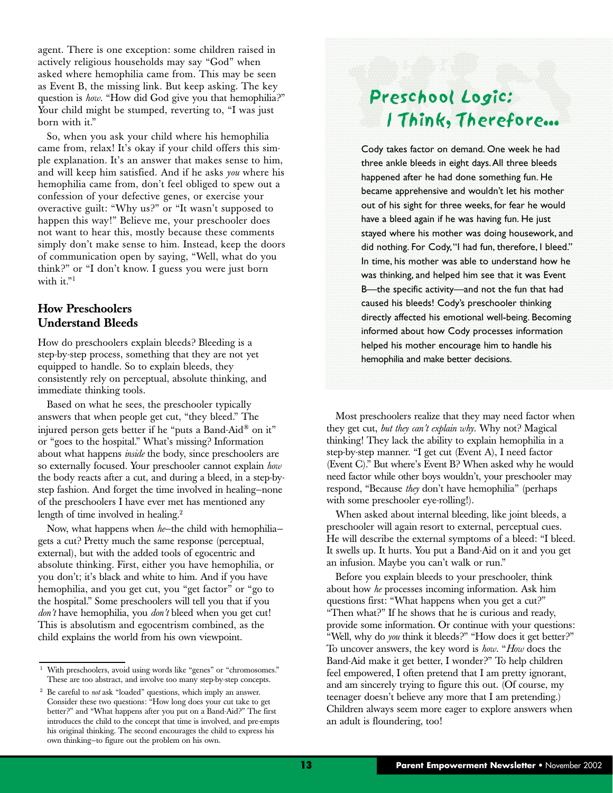agent. There is one exception: some children raised in actively religious households may say "God" when asked where hemophilia came from. This may be seen as Event B, the missing link. But keep asking. The key question is *how*. "How did God give you that hemophilia?" Your child might be stumped, reverting to, "I was just born with it."

So, when you ask your child where his hemophilia came from, relax! It's okay if your child offers this simple explanation. It's an answer that makes sense to him, and will keep him satisfied. And if he asks *you* where his hemophilia came from, don't feel obliged to spew out a confession of your defective genes, or exercise your overactive guilt: "Why us?" or "It wasn't supposed to happen this way!" Believe me, your preschooler does not want to hear this, mostly because these comments simply don't make sense to him. Instead, keep the doors of communication open by saying, "Well, what do you think?" or "I don't know. I guess you were just born with it."<sup>1</sup>

#### **How Preschoolers Understand Bleeds**

How do preschoolers explain bleeds? Bleeding is a step-by-step process, something that they are not yet equipped to handle. So to explain bleeds, they consistently rely on perceptual, absolute thinking, and immediate thinking tools.

Based on what he sees, the preschooler typically answers that when people get cut, "they bleed." The injured person gets better if he "puts a Band-Aid® on it" or "goes to the hospital." What's missing? Information about what happens *inside* the body, since preschoolers are so externally focused. Your preschooler cannot explain *how* the body reacts after a cut, and during a bleed, in a step-bystep fashion. And forget the time involved in healing—none of the preschoolers I have ever met has mentioned any length of time involved in healing. $2$ 

Now, what happens when *he*—the child with hemophilia gets a cut? Pretty much the same response (perceptual, external), but with the added tools of egocentric and absolute thinking. First, either you have hemophilia, or you don't; it's black and white to him. And if you have hemophilia, and you get cut, you "get factor" or "go to the hospital." Some preschoolers will tell you that if you *don't* have hemophilia, you *don't* bleed when you get cut! This is absolutism and egocentrism combined, as the child explains the world from his own viewpoint.

### Preschool Logic: I Think, Therefore...

Cody takes factor on demand. One week he had three ankle bleeds in eight days.All three bleeds happened after he had done something fun. He became apprehensive and wouldn't let his mother out of his sight for three weeks, for fear he would have a bleed again if he was having fun. He just stayed where his mother was doing housework, and did nothing. For Cody,"I had fun, therefore, I bleed." In time, his mother was able to understand how he was thinking, and helped him see that it was Event B—the specific activity—and not the fun that had caused his bleeds! Cody's preschooler thinking directly affected his emotional well-being. Becoming informed about how Cody processes information helped his mother encourage him to handle his hemophilia and make better decisions.

Most preschoolers realize that they may need factor when they get cut, *but they can't explain why*. Why not? Magical thinking! They lack the ability to explain hemophilia in a step-by-step manner. "I get cut (Event A), I need factor (Event C)." But where's Event B? When asked why he would need factor while other boys wouldn't, your preschooler may respond, "Because *they* don't have hemophilia" (perhaps with some preschooler eye-rolling!).

When asked about internal bleeding, like joint bleeds, a preschooler will again resort to external, perceptual cues. He will describe the external symptoms of a bleed: "I bleed. It swells up. It hurts. You put a Band-Aid on it and you get an infusion. Maybe you can't walk or run."

Before you explain bleeds to your preschooler, think about how *he* processes incoming information. Ask him questions first: "What happens when you get a cut?" "Then what?" If he shows that he is curious and ready, provide some information. Or continue with your questions: "Well, why do *you* think it bleeds?" "How does it get better?" To uncover answers, the key word is *how*. "*How* does the Band-Aid make it get better, I wonder?" To help children feel empowered, I often pretend that I am pretty ignorant, and am sincerely trying to figure this out. (Of course, my teenager doesn't believe any more that I am pretending.) Children always seem more eager to explore answers when an adult is floundering, too!

<sup>&</sup>lt;sup>1</sup> With preschoolers, avoid using words like "genes" or "chromosomes." These are too abstract, and involve too many step-by-step concepts.

<sup>2</sup> Be careful to *not* ask "loaded" questions, which imply an answer. Consider these two questions: "How long does your cut take to get better?" and "What happens after you put on a Band-Aid?" The first introduces the child to the concept that time is involved, and pre-empts his original thinking. The second encourages the child to express his own thinking—to figure out the problem on his own.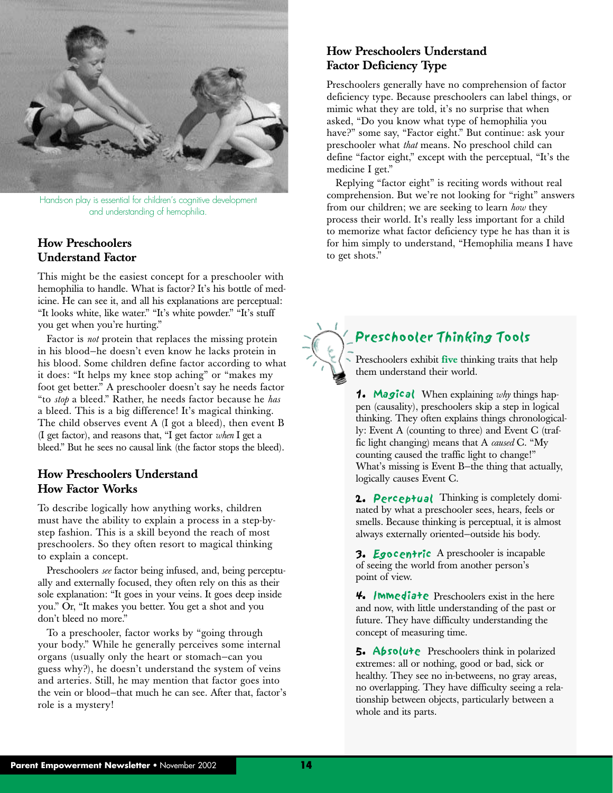

Hands-on play is essential for children's cognitive development and understanding of hemophilia.

#### **How Preschoolers Understand Factor**

This might be the easiest concept for a preschooler with hemophilia to handle. What is factor? It's his bottle of medicine. He can see it, and all his explanations are perceptual: "It looks white, like water." "It's white powder." "It's stuff you get when you're hurting."

Factor is *not* protein that replaces the missing protein in his blood—he doesn't even know he lacks protein in his blood. Some children define factor according to what it does: "It helps my knee stop aching" or "makes my foot get better." A preschooler doesn't say he needs factor "to *stop* a bleed." Rather, he needs factor because he *has* a bleed. This is a big difference! It's magical thinking. The child observes event A (I got a bleed), then event B (I get factor), and reasons that, "I get factor *when* I get a bleed." But he sees no causal link (the factor stops the bleed).

#### **How Preschoolers Understand How Factor Works**

To describe logically how anything works, children must have the ability to explain a process in a step-bystep fashion. This is a skill beyond the reach of most preschoolers. So they often resort to magical thinking to explain a concept.

Preschoolers *see* factor being infused, and, being perceptually and externally focused, they often rely on this as their sole explanation: "It goes in your veins. It goes deep inside you." Or, "It makes you better. You get a shot and you don't bleed no more."

To a preschooler, factor works by "going through your body." While he generally perceives some internal organs (usually only the heart or stomach—can you guess why?), he doesn't understand the system of veins and arteries. Still, he may mention that factor goes into the vein or blood—that much he can see. After that, factor's role is a mystery!

#### **How Preschoolers Understand Factor Deficiency Type**

Preschoolers generally have no comprehension of factor deficiency type. Because preschoolers can label things, or mimic what they are told, it's no surprise that when asked, "Do you know what type of hemophilia you have?" some say, "Factor eight." But continue: ask your preschooler what *that* means. No preschool child can define "factor eight," except with the perceptual, "It's the medicine I get."

Replying "factor eight" is reciting words without real comprehension. But we're not looking for "right" answers from our children; we are seeking to learn *how* they process their world. It's really less important for a child to memorize what factor deficiency type he has than it is for him simply to understand, "Hemophilia means I have to get shots."



#### Preschooler Thinking Tools

Preschoolers exhibit **five** thinking traits that help them understand their world.

**1. Magical** When explaining why things happen (causality), preschoolers skip a step in logical thinking. They often explains things chronologically: Event A (counting to three) and Event C (traffic light changing) means that A *caused* C. "My counting caused the traffic light to change!" What's missing is Event B—the thing that actually, logically causes Event C.

2. Perceptual Thinking is completely dominated by what a preschooler sees, hears, feels or smells. Because thinking is perceptual, it is almost always externally oriented—outside his body.

3. Egocentric A preschooler is incapable of seeing the world from another person's point of view.

 $4.$  **IMMediate** Preschoolers exist in the here and now, with little understanding of the past or future. They have difficulty understanding the concept of measuring time.

5. Absolute Preschoolers think in polarized extremes: all or nothing, good or bad, sick or healthy. They see no in-betweens, no gray areas, no overlapping. They have difficulty seeing a relationship between objects, particularly between a whole and its parts.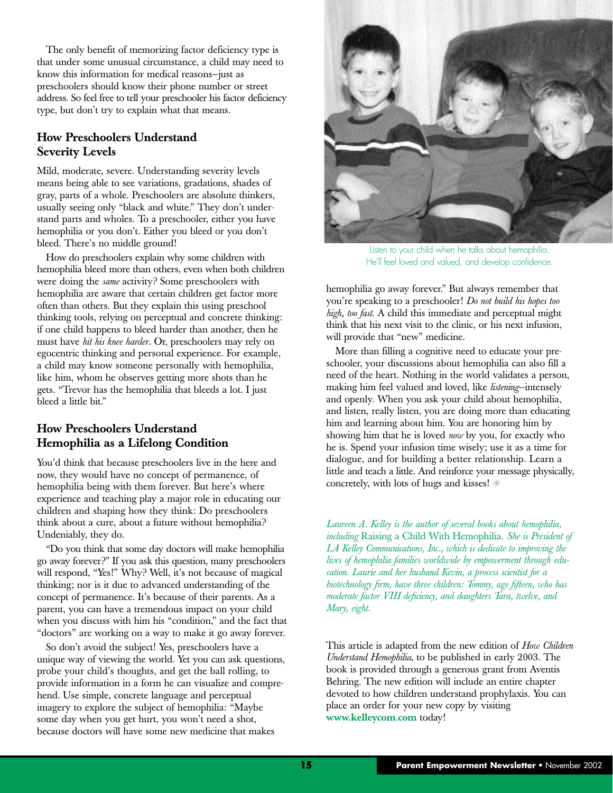The only benefit of memorizing factor deficiency type is that under some unusual circumstance, a child may need to know this information for medical reasons—just as preschoolers should know their phone number or street address. So feel free to tell your preschooler his factor deficiency type, but don't try to explain what that means.

#### **How Preschoolers Understand Severity Levels**

Mild, moderate, severe. Understanding severity levels means being able to see variations, gradations, shades of gray, parts of a whole. Preschoolers are absolute thinkers, usually seeing only "black and white." They don't understand parts and wholes. To a preschooler, either you have hemophilia or you don't. Either you bleed or you don't bleed. There's no middle ground!

How do preschoolers explain why some children with hemophilia bleed more than others, even when both children were doing the *same* activity? Some preschoolers with hemophilia are aware that certain children get factor more often than others. But they explain this using preschool thinking tools, relying on perceptual and concrete thinking: if one child happens to bleed harder than another, then he must have *hit his knee harder*. Or, preschoolers may rely on egocentric thinking and personal experience. For example, a child may know someone personally with hemophilia, like him, whom he observes getting more shots than he gets. "Trevor has the hemophilia that bleeds a lot. I just bleed a little bit."

#### **How Preschoolers Understand Hemophilia as a Lifelong Condition**

You'd think that because preschoolers live in the here and now, they would have no concept of permanence, of hemophilia being with them forever. But here's where experience and teaching play a major role in educating our children and shaping how they think: Do preschoolers think about a cure, about a future without hemophilia? Undeniably, they do.

"Do you think that some day doctors will make hemophilia go away forever?" If you ask this question, many preschoolers will respond, "Yes!" Why? Well, it's not because of magical thinking; nor is it due to advanced understanding of the concept of permanence. It's because of their parents. As a parent, you can have a tremendous impact on your child when you discuss with him his "condition," and the fact that "doctors" are working on a way to make it go away forever.

So don't avoid the subject! Yes, preschoolers have a unique way of viewing the world. Yet you can ask questions, probe your child's thoughts, and get the ball rolling, to provide information in a form he can visualize and comprehend. Use simple, concrete language and perceptual imagery to explore the subject of hemophilia: "Maybe some day when you get hurt, you won't need a shot, because doctors will have some new medicine that makes



Listen to your child when he talks about hemophilia. He'll feel loved and valued, and develop confidence.

hemophilia go away forever." But always remember that you're speaking to a preschooler! *Do not build his hopes too high, too fast*. A child this immediate and perceptual might think that his next visit to the clinic, or his next infusion, will provide that "new" medicine.

More than filling a cognitive need to educate your preschooler, your discussions about hemophilia can also fill a need of the heart. Nothing in the world validates a person, making him feel valued and loved, like *listening*—intensely and openly. When you ask your child about hemophilia, and listen, really listen, you are doing more than educating him and learning about him. You are honoring him by showing him that he is loved *now* by you, for exactly who he is. Spend your infusion time wisely; use it as a time for dialogue, and for building a better relationship. Learn a little and teach a little. And reinforce your message physically, concretely, with lots of hugs and kisses!

*Laureen A. Kelley is the author of several books about hemophilia, including* Raising a Child With Hemophilia. *She is President of LA Kelley Communications, Inc., which is dedicate to improving the lives of hemophilia families worldwide by empowerment through education. Laurie and her husband Kevin, a process scientist for a biotechnology firm, have three children: Tommy, age fifteen, who has moderate factor VIII deficiency, and daughters Tara, twelve, and Mary, eight.*

This article is adapted from the new edition of *How Children Understand Hemophilia*, to be published in early 2003. The book is provided through a generous grant from Aventis Behring. The new edition will include an entire chapter devoted to how children understand prophylaxis. You can place an order for your new copy by visiting **www.kelleycom.com** today!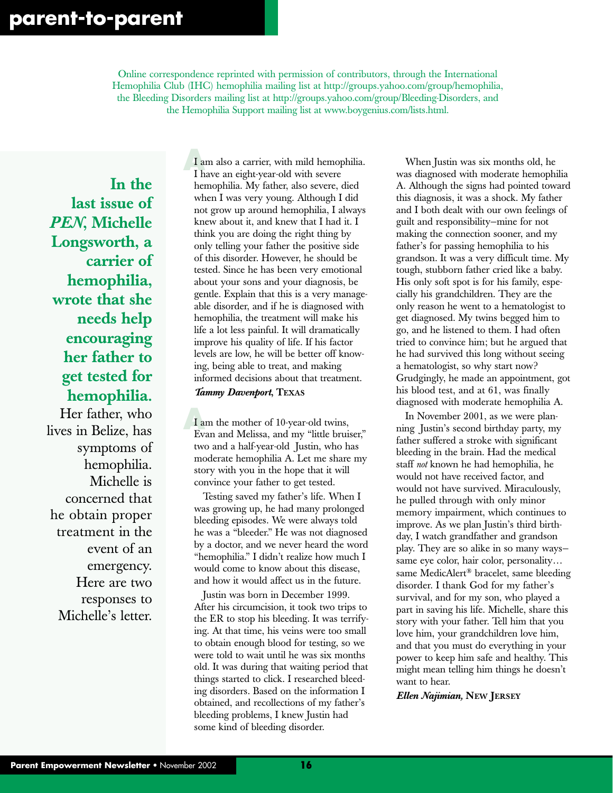Online correspondence reprinted with permission of contributors, through the International Hemophilia Club (IHC) hemophilia mailing list at http://groups.yahoo.com/group/hemophilia, the Bleeding Disorders mailing list at http://groups.yahoo.com/group/Bleeding-Disorders, and the Hemophilia Support mailing list at www.boygenius.com/lists.html.

**In the last issue of** *PEN***, Michelle Longsworth, a carrier of hemophilia, wrote that she needs help encouraging her father to get tested for hemophilia.**

Her father, who lives in Belize, has symptoms of hemophilia. Michelle is concerned that he obtain proper treatment in the event of an emergency. Here are two responses to Michelle's letter.

 $\frac{1}{1}$ **A** I am also a carrier, with mild hemophilia. I have an eight-year-old with severe hemophilia. My father, also severe, died when I was very young. Although I did not grow up around hemophilia, I always knew about it, and knew that I had it. I think you are doing the right thing by only telling your father the positive side of this disorder. However, he should be tested. Since he has been very emotional about your sons and your diagnosis, be gentle. Explain that this is a very manageable disorder, and if he is diagnosed with hemophilia, the treatment will make his life a lot less painful. It will dramatically improve his quality of life. If his factor levels are low, he will be better off knowing, being able to treat, and making informed decisions about that treatment.

#### *Tammy Davenport***, TEXAS**

I am the mother of 10-year-old twins, Evan and Melissa, and my "little bruiser," two and a half-year-old Justin, who has moderate hemophilia A. Let me share my story with you in the hope that it will convince your father to get tested.

Testing saved my father's life. When I was growing up, he had many prolonged bleeding episodes. We were always told he was a "bleeder." He was not diagnosed by a doctor, and we never heard the word "hemophilia." I didn't realize how much I would come to know about this disease, and how it would affect us in the future.

Justin was born in December 1999. After his circumcision, it took two trips to the ER to stop his bleeding. It was terrifying. At that time, his veins were too small to obtain enough blood for testing, so we were told to wait until he was six months old. It was during that waiting period that things started to click. I researched bleeding disorders. Based on the information I obtained, and recollections of my father's bleeding problems, I knew Justin had some kind of bleeding disorder.

When Justin was six months old, he was diagnosed with moderate hemophilia A. Although the signs had pointed toward this diagnosis, it was a shock. My father and I both dealt with our own feelings of guilt and responsibility—mine for not making the connection sooner, and my father's for passing hemophilia to his grandson. It was a very difficult time. My tough, stubborn father cried like a baby. His only soft spot is for his family, especially his grandchildren. They are the only reason he went to a hematologist to get diagnosed. My twins begged him to go, and he listened to them. I had often tried to convince him; but he argued that he had survived this long without seeing a hematologist, so why start now? Grudgingly, he made an appointment, got his blood test, and at 61, was finally diagnosed with moderate hemophilia A.

In November 2001, as we were planning Justin's second birthday party, my father suffered a stroke with significant bleeding in the brain. Had the medical staff *not* known he had hemophilia, he would not have received factor, and would not have survived. Miraculously, he pulled through with only minor memory impairment, which continues to improve. As we plan Justin's third birthday, I watch grandfather and grandson play. They are so alike in so many ways same eye color, hair color, personality… same MedicAlert® bracelet, same bleeding disorder. I thank God for my father's survival, and for my son, who played a part in saving his life. Michelle, share this story with your father. Tell him that you love him, your grandchildren love him, and that you must do everything in your power to keep him safe and healthy. This might mean telling him things he doesn't want to hear.

*Ellen Najimian,* **NEW JERSEY**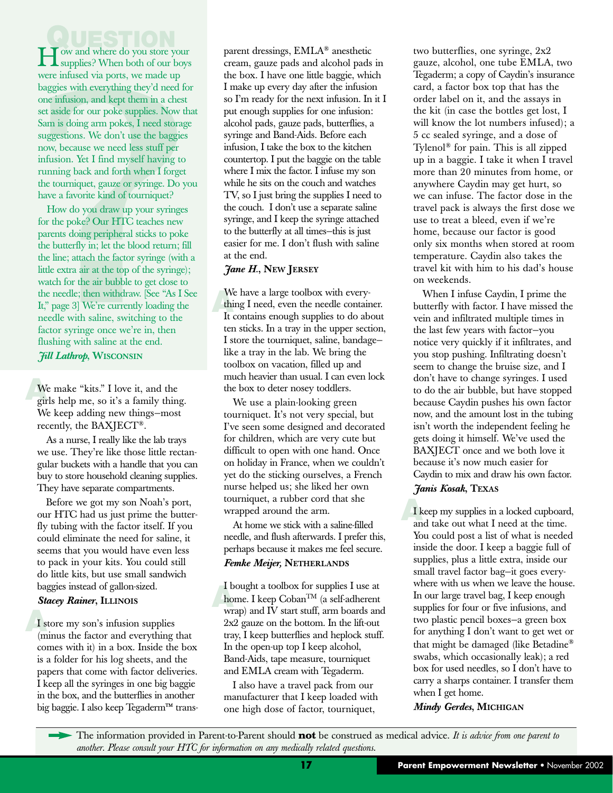**J** ow and where do you store your How and where do you store your supplies? When both of our boys were infused via ports, we made up baggies with everything they'd need for one infusion, and kept them in a chest set aside for our poke supplies. Now that Sam is doing arm pokes, I need storage suggestions. We don't use the baggies now, because we need less stuff per infusion. Yet I find myself having to running back and forth when I forget the tourniquet, gauze or syringe. Do you have a favorite kind of tourniquet?

How do you draw up your syringes for the poke? Our HTC teaches new parents doing peripheral sticks to poke the butterfly in; let the blood return; fill the line; attach the factor syringe (with a little extra air at the top of the syringe); watch for the air bubble to get close to the needle; then withdraw. [See "As I See It," page 3] We're currently loading the needle with saline, switching to the factor syringe once we're in, then flushing with saline at the end. *Jill Lathrop***, WISCONSIN**

We make "kits." I love it, and the girls help me, so it's a family thing. We make "kits." I love it, and the We keep adding new things—most recently, the BAXJECT®.

As a nurse, I really like the lab trays we use. They're like those little rectangular buckets with a handle that you can buy to store household cleaning supplies. They have separate compartments.

Before we got my son Noah's port, our HTC had us just prime the butterfly tubing with the factor itself. If you could eliminate the need for saline, it seems that you would have even less to pack in your kits. You could still do little kits, but use small sandwich baggies instead of gallon-sized.

#### *Stacey Rainer***, ILLINOIS**

**A** I store my son's infusion supplies (minus the factor and everything that comes with it) in a box. Inside the box is a folder for his log sheets, and the papers that come with factor deliveries. I keep all the syringes in one big baggie in the box, and the butterflies in another big baggie. I also keep Tegaderm™ transparent dressings, EMLA® anesthetic cream, gauze pads and alcohol pads in the box. I have one little baggie, which I make up every day after the infusion so I'm ready for the next infusion. In it I put enough supplies for one infusion: alcohol pads, gauze pads, butterflies, a syringe and Band-Aids. Before each infusion, I take the box to the kitchen countertop. I put the baggie on the table where I mix the factor. I infuse my son while he sits on the couch and watches TV, so I just bring the supplies I need to the couch. I don't use a separate saline syringe, and I keep the syringe attached to the butterfly at all times—this is just easier for me. I don't flush with saline at the end.

#### *Jane H.***, NEW JERSEY**

We have a large toolbox with every-<br>thing I need, even the needle container.<br>It contains enough supplies to do about We have a large toolbox with every-It contains enough supplies to do about ten sticks. In a tray in the upper section, I store the tourniquet, saline, bandage like a tray in the lab. We bring the toolbox on vacation, filled up and much heavier than usual. I can even lock the box to deter nosey toddlers.

We use a plain-looking green tourniquet. It's not very special, but I've seen some designed and decorated for children, which are very cute but difficult to open with one hand. Once on holiday in France, when we couldn't yet do the sticking ourselves, a French nurse helped us; she liked her own tourniquet, a rubber cord that she wrapped around the arm.

At home we stick with a saline-filled needle, and flush afterwards. I prefer this, perhaps because it makes me feel secure. *Femke Meijer,* **NETHERLANDS**

 $\frac{16}{h}$ I bought a toolbox for supplies I use at home. I keep  $\operatorname{Coban}^{\operatorname{TM}}$  (a self-adherent wrap) and IV start stuff, arm boards and 2x2 gauze on the bottom. In the lift-out tray, I keep butterflies and heplock stuff. In the open-up top I keep alcohol, Band-Aids, tape measure, tourniquet and EMLA cream with Tegaderm.

I also have a travel pack from our manufacturer that I keep loaded with one high dose of factor, tourniquet,

two butterflies, one syringe, 2x2 gauze, alcohol, one tube EMLA, two Tegaderm; a copy of Caydin's insurance card, a factor box top that has the order label on it, and the assays in the kit (in case the bottles get lost, I will know the lot numbers infused); a 5 cc sealed syringe, and a dose of Tylenol® for pain. This is all zipped up in a baggie. I take it when I travel more than 20 minutes from home, or anywhere Caydin may get hurt, so we can infuse. The factor dose in the travel pack is always the first dose we use to treat a bleed, even if we're home, because our factor is good only six months when stored at room temperature. Caydin also takes the travel kit with him to his dad's house on weekends.

When I infuse Caydin, I prime the butterfly with factor. I have missed the vein and infiltrated multiple times in the last few years with factor—you notice very quickly if it infiltrates, and you stop pushing. Infiltrating doesn't seem to change the bruise size, and I don't have to change syringes. I used to do the air bubble, but have stopped because Caydin pushes his own factor now, and the amount lost in the tubing isn't worth the independent feeling he gets doing it himself. We've used the BAXJECT once and we both love it because it's now much easier for Caydin to mix and draw his own factor.

#### *Janis Kosak***, TEXAS**

**A**<br>**A**<br>**A**<br>**A** I keep my supplies in a locked cupboard, and take out what I need at the time. You could post a list of what is needed inside the door. I keep a baggie full of supplies, plus a little extra, inside our small travel factor bag—it goes everywhere with us when we leave the house. In our large travel bag, I keep enough supplies for four or five infusions, and two plastic pencil boxes—a green box for anything I don't want to get wet or that might be damaged (like Betadine® swabs, which occasionally leak); a red box for used needles, so I don't have to carry a sharps container. I transfer them when I get home.

*Mindy Gerdes***, MICHIGAN**

The information provided in Parent-to-Parent should **not** be construed as medical advice. It is advice from one parent to *another. Please consult your HTC for information on any medically related questions*.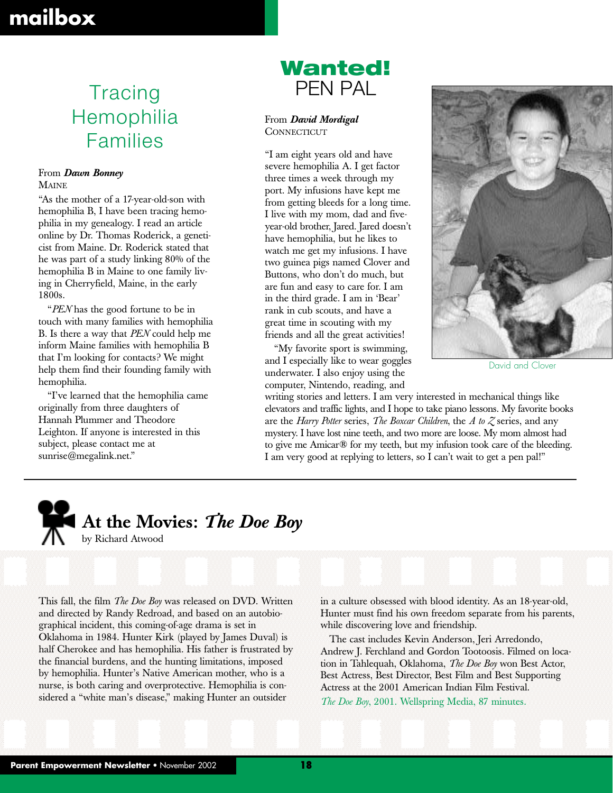### **mailbox**

# Hemophilia Families

#### From *Dawn Bonney*

MAINE

"As the mother of a 17-year-old-son with hemophilia B, I have been tracing hemophilia in my genealogy. I read an article online by Dr. Thomas Roderick, a geneticist from Maine. Dr. Roderick stated that he was part of a study linking 80% of the hemophilia B in Maine to one family living in Cherryfield, Maine, in the early 1800s.

"*PEN* has the good fortune to be in touch with many families with hemophilia B. Is there a way that *PEN* could help me inform Maine families with hemophilia B that I'm looking for contacts? We might help them find their founding family with hemophilia.

"I've learned that the hemophilia came originally from three daughters of Hannah Plummer and Theodore Leighton. If anyone is interested in this subject, please contact me at sunrise@megalink.net."

### **Wanted!** Tracing PEN PAL

From *David Mordigal* **CONNECTICUT** 

"I am eight years old and have severe hemophilia A. I get factor three times a week through my port. My infusions have kept me from getting bleeds for a long time. I live with my mom, dad and fiveyear-old brother, Jared. Jared doesn't have hemophilia, but he likes to watch me get my infusions. I have two guinea pigs named Clover and Buttons, who don't do much, but are fun and easy to care for. I am in the third grade. I am in 'Bear' rank in cub scouts, and have a great time in scouting with my friends and all the great activities!

"My favorite sport is swimming, and I especially like to wear goggles underwater. I also enjoy using the computer, Nintendo, reading, and



David and Clover

writing stories and letters. I am very interested in mechanical things like elevators and traffic lights, and I hope to take piano lessons. My favorite books are the *Harry Potter* series, *The Boxcar Children*, the *A to Z* series, and any mystery. I have lost nine teeth, and two more are loose. My mom almost had to give me Amicar® for my teeth, but my infusion took care of the bleeding. I am very good at replying to letters, so I can't wait to get a pen pal!"



### **At the Movies:** *The Doe Boy* by Richard Atwood

This fall, the film *The Doe Boy* was released on DVD. Written and directed by Randy Redroad, and based on an autobiographical incident, this coming-of-age drama is set in Oklahoma in 1984. Hunter Kirk (played by James Duval) is half Cherokee and has hemophilia. His father is frustrated by the financial burdens, and the hunting limitations, imposed by hemophilia. Hunter's Native American mother, who is a nurse, is both caring and overprotective. Hemophilia is considered a "white man's disease," making Hunter an outsider

in a culture obsessed with blood identity. As an 18-year-old, Hunter must find his own freedom separate from his parents, while discovering love and friendship.

The cast includes Kevin Anderson, Jeri Arredondo, Andrew J. Ferchland and Gordon Tootoosis. Filmed on location in Tahlequah, Oklahoma, *The Doe Boy* won Best Actor, Best Actress, Best Director, Best Film and Best Supporting Actress at the 2001 American Indian Film Festival. *The Doe Boy*, 2001. Wellspring Media, 87 minutes.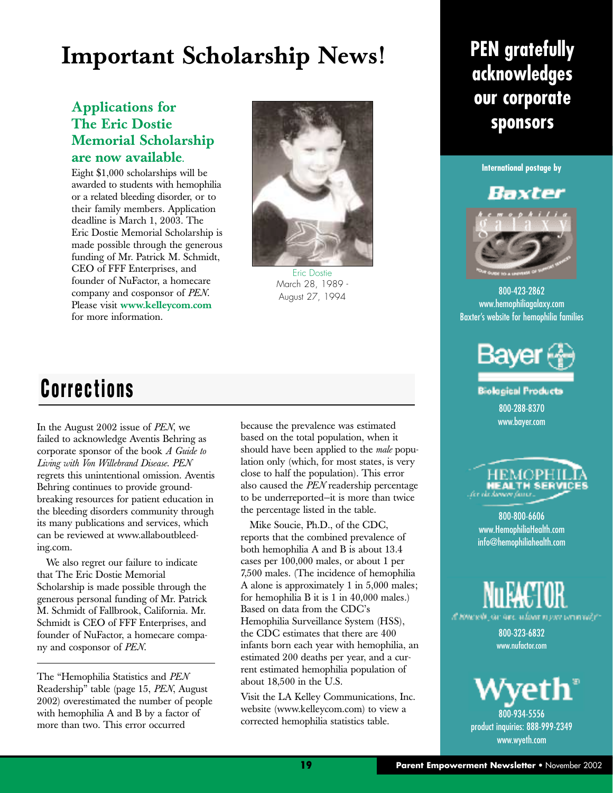# **Important Scholarship News! PEN gratefully**

#### **Applications for The Eric Dostie Memorial Scholarship are now available.**

Eight \$1,000 scholarships will be awarded to students with hemophilia or a related bleeding disorder, or to their family members. Application deadline is March 1, 2003. The Eric Dostie Memorial Scholarship is made possible through the generous funding of Mr. Patrick M. Schmidt, CEO of FFF Enterprises, and founder of NuFactor, a homecare company and cosponsor of *PEN*. Please visit **www.kelleycom.com** for more information.



Eric Dostie March 28, 1989 - August 27, 1994

# **acknowledges our corporate sponsors**



### Baxter



#### 800-423-2862 www.hemophiliagalaxy.com Baxter's website for hemophilia families



**Biological Products** 800-288-8370 www.bayer.com

# HEMOPI

800-800-6606 www.HemophiliaHealth.com info@hemophiliahealth.com



800-323-6832 www.nufactor.com



800-934-5556 product inquiries: 888-999-2349 www.wyeth.com

### **Corrections**

In the August 2002 issue of *PEN*, we failed to acknowledge Aventis Behring as corporate sponsor of the book *A Guide to Living with Von Willebrand Disease*. *PEN* regrets this unintentional omission. Aventis Behring continues to provide groundbreaking resources for patient education in the bleeding disorders community through its many publications and services, which can be reviewed at www.allaboutbleeding.com.

We also regret our failure to indicate that The Eric Dostie Memorial Scholarship is made possible through the generous personal funding of Mr. Patrick M. Schmidt of Fallbrook, California. Mr. Schmidt is CEO of FFF Enterprises, and founder of NuFactor, a homecare company and cosponsor of *PEN*.

The "Hemophilia Statistics and *PEN* Readership" table (page 15, *PEN*, August 2002) overestimated the number of people with hemophilia A and B by a factor of more than two. This error occurred

because the prevalence was estimated based on the total population, when it should have been applied to the *male* population only (which, for most states, is very close to half the population). This error also caused the *PEN* readership percentage to be underreported—it is more than twice the percentage listed in the table.

Mike Soucie, Ph.D., of the CDC, reports that the combined prevalence of both hemophilia A and B is about 13.4 cases per 100,000 males, or about 1 per 7,500 males. (The incidence of hemophilia A alone is approximately 1 in 5,000 males; for hemophilia B it is 1 in 40,000 males.) Based on data from the CDC's Hemophilia Surveillance System (HSS), the CDC estimates that there are 400 infants born each year with hemophilia, an estimated 200 deaths per year, and a current estimated hemophilia population of about 18,500 in the U.S.

Visit the LA Kelley Communications, Inc. website (www.kelleycom.com) to view a corrected hemophilia statistics table.